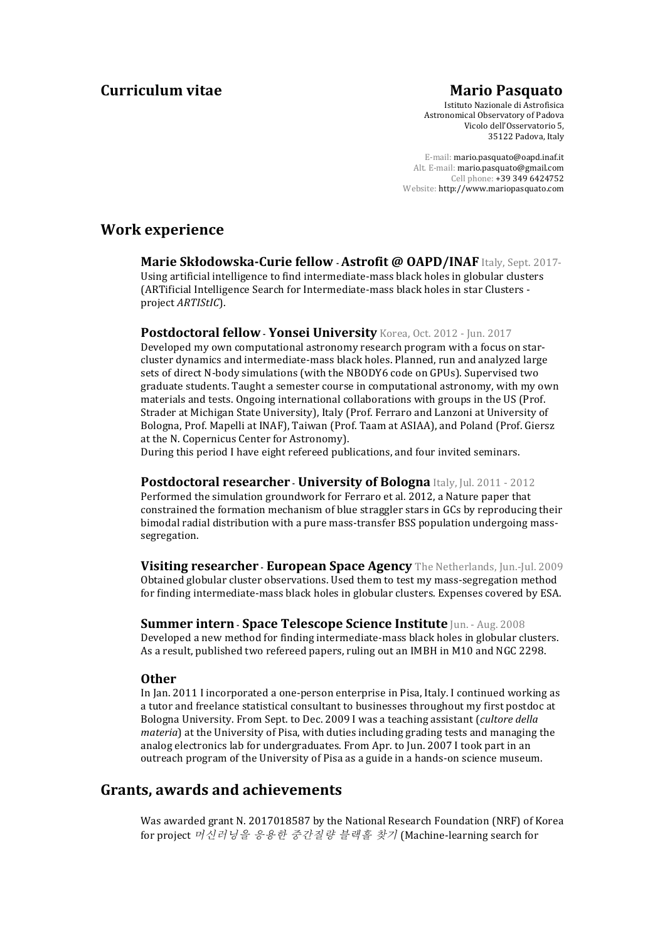# **Curriculum vitae Mario Pasquato**

Istituto Nazionale di Astrofisica Astronomical Observatory of Padova Vicolo dell'Osservatorio 5, 35122 Padova, Italy

E-mail: mario.pasquato@oapd.inaf.it Alt. E-mail: mario.pasquato@gmail.com Cell phone: +39 349 6424752 Website: http://www.mariopasquato.com

# **Work experience**

Marie Skłodowska-Curie fellow - Astrofit @ OAPD/INAF Italy, Sept. 2017-Using artificial intelligence to find intermediate-mass black holes in globular clusters (ARTificial Intelligence Search for Intermediate-mass black holes in star Clusters project *ARTIStIC*).

## **Postdoctoral fellow - Yonsei University** Korea, Oct. 2012 - Jun. 2017

Developed my own computational astronomy research program with a focus on starcluster dynamics and intermediate-mass black holes. Planned, run and analyzed large sets of direct N-body simulations (with the NBODY6 code on GPUs). Supervised two graduate students. Taught a semester course in computational astronomy, with my own materials and tests. Ongoing international collaborations with groups in the US (Prof. Strader at Michigan State University), Italy (Prof. Ferraro and Lanzoni at University of Bologna, Prof. Mapelli at INAF), Taiwan (Prof. Taam at ASIAA), and Poland (Prof. Giersz at the N. Copernicus Center for Astronomy).

During this period I have eight refereed publications, and four invited seminars.

## **Postdoctoral researcher - University of Bologna Italy, Jul. 2011 - 2012**

Performed the simulation groundwork for Ferraro et al. 2012, a Nature paper that constrained the formation mechanism of blue straggler stars in GCs by reproducing their bimodal radial distribution with a pure mass-transfer BSS population undergoing masssegregation.

**Visiting researcher - European Space Agency** The Netherlands, Jun.-Jul. 2009 Obtained globular cluster observations. Used them to test my mass-segregation method for finding intermediate-mass black holes in globular clusters. Expenses covered by ESA.

**Summer intern - Space Telescope Science Institute Jun. - Aug. 2008** Developed a new method for finding intermediate-mass black holes in globular clusters. As a result, published two refereed papers, ruling out an IMBH in M10 and NGC 2298.

## **Other**

In Jan. 2011 I incorporated a one-person enterprise in Pisa, Italy. I continued working as a tutor and freelance statistical consultant to businesses throughout my first postdoc at Bologna University. From Sept. to Dec. 2009 I was a teaching assistant (*cultore della*) *materia*) at the University of Pisa, with duties including grading tests and managing the analog electronics lab for undergraduates. From Apr. to Jun. 2007 I took part in an outreach program of the University of Pisa as a guide in a hands-on science museum.

## **Grants, awards and achievements**

Was awarded grant N. 2017018587 by the National Research Foundation (NRF) of Korea for project 머신러닝을 응용한 증간질량 블랙홀 찾기 (Machine-learning search for